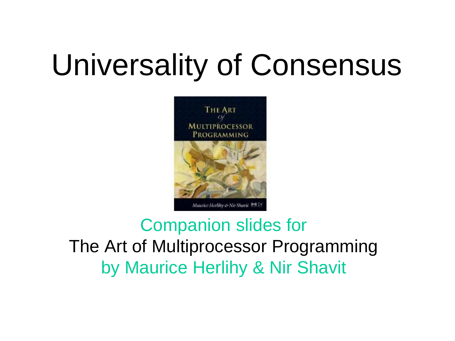# Universality of Consensus



#### Companion slides for The Art of Multiprocessor Programming by Maurice Herlihy & Nir Shavit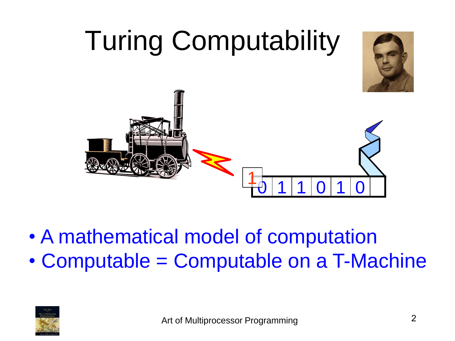

- A mathematical model of computation
- Computable = Computable on a T-Machine

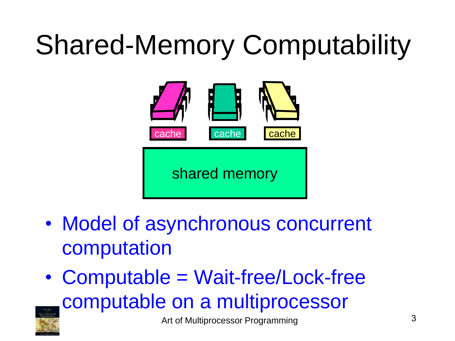# Shared-Memory Computability



- Model of asynchronous concurrent computation
- Computable = Wait-free/Lock-free computable on a multiprocessor

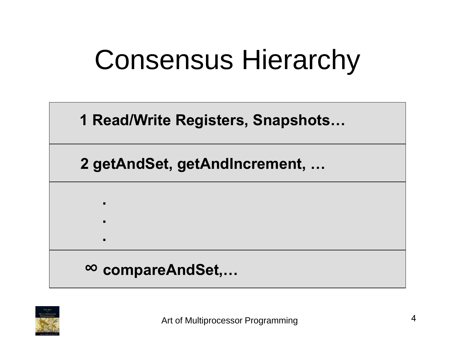## Consensus Hierarchy

**1 Read/Write Registers, Snapshots…**

**2 getAndSet, getAndIncrement, …**

**∞ compareAndSet,…**

**.**

**.**

**.**

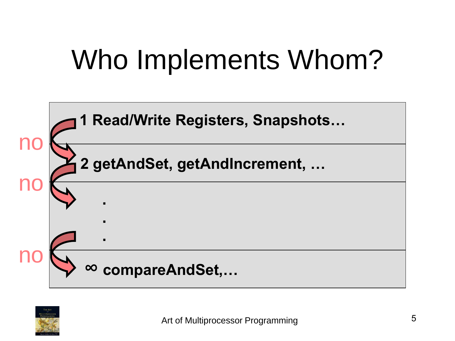# Who Implements Whom?



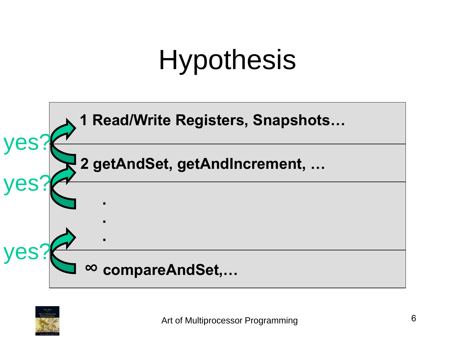# **Hypothesis**



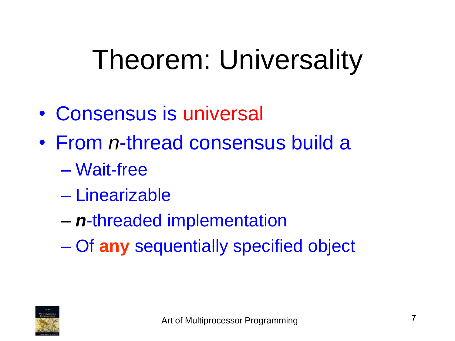# Theorem: Universality

- Consensus is universal
- From *n*-thread consensus build a
	- Wait-free
	- Linearizable
	- *n*-threaded implementation
	- Of **any** sequentially specified object

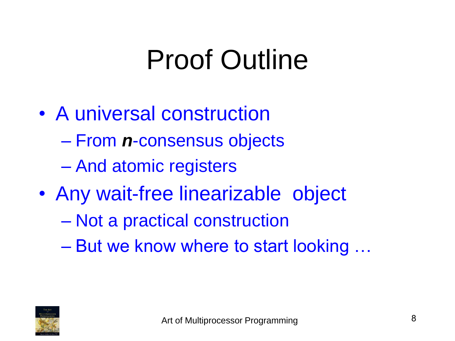# Proof Outline

- A universal construction
	- From *n*-consensus objects
	- And atomic registers
- Any wait-free linearizable object
	- Not a practical construction
	- But we know where to start looking …

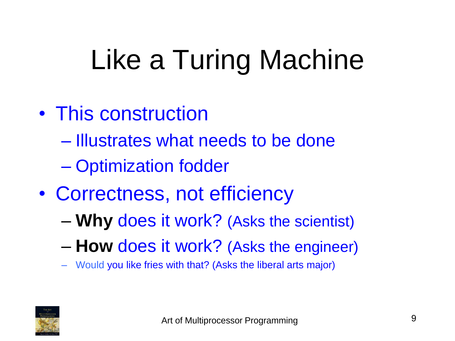# Like a Turing Machine

- This construction
	- Illustrates what needs to be done
	- Optimization fodder
- Correctness, not efficiency
	- **Why** does it work? (Asks the scientist)
	- **How** does it work? (Asks the engineer)
	- Would you like fries with that? (Asks the liberal arts major)

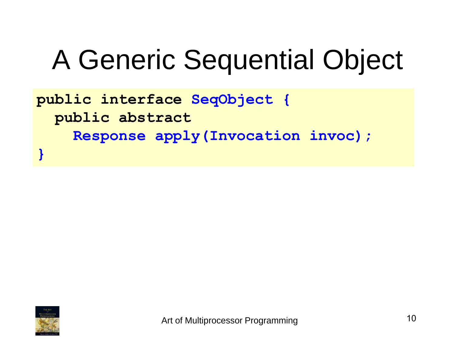# A Generic Sequential Object

**public interface SeqObject { public abstract Response apply(Invocation invoc); }**

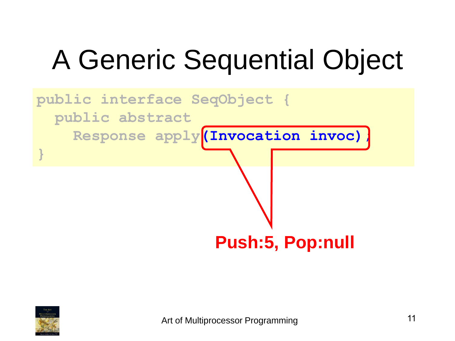# A Generic Sequential Object



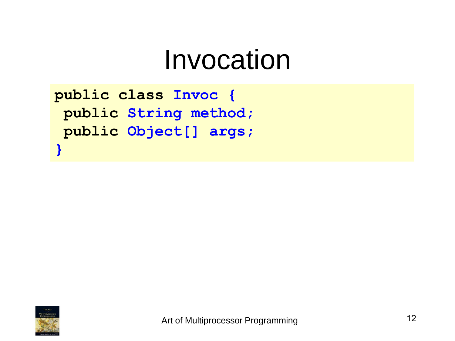#### Invocation

```
public class Invoc {
 public String method;
 public Object[] args;
}
```
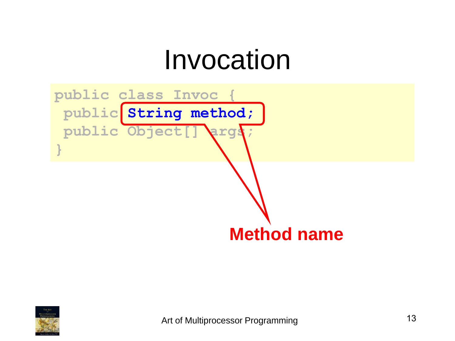## Invocation



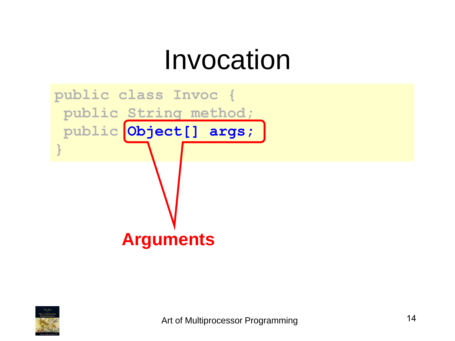## Invocation



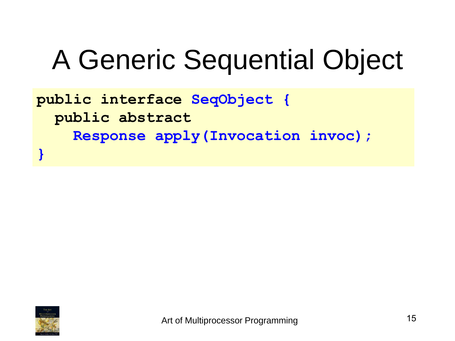# A Generic Sequential Object

**public interface SeqObject { public abstract Response apply(Invocation invoc); }**

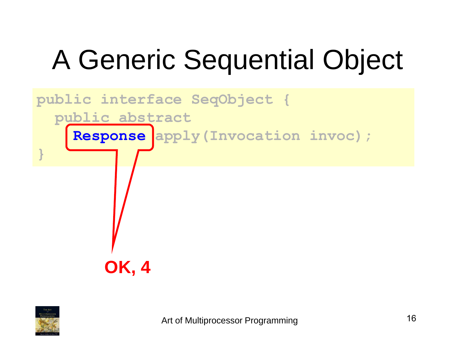# A Generic Sequential Object



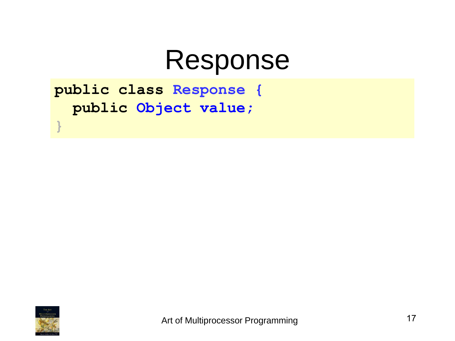#### Response

**public class Response { public Object value;**



**}**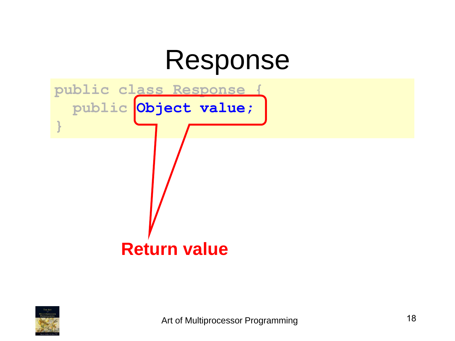## Response



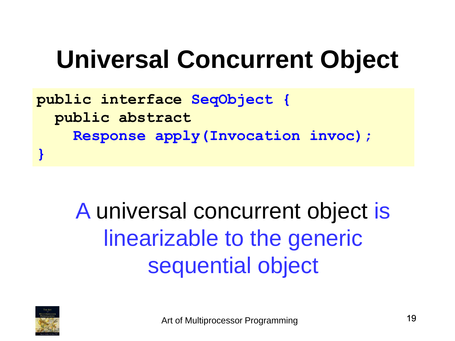## **Universal Concurrent Object**

**public interface SeqObject { public abstract Response apply(Invocation invoc); }**

> A universal concurrent object is linearizable to the generic sequential object

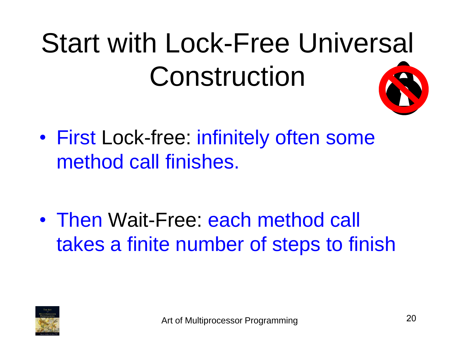# Start with Lock-Free Universal Construction

• First Lock-free: infinitely often some method call finishes.

• Then Wait-Free: each method call takes a finite number of steps to finish

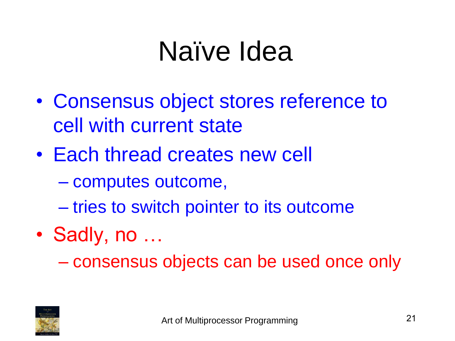## Naïve Idea

- Consensus object stores reference to cell with current state
- Each thread creates new cell
	- computes outcome,
	- tries to switch pointer to its outcome
- Sadly, no ...

– consensus objects can be used once only

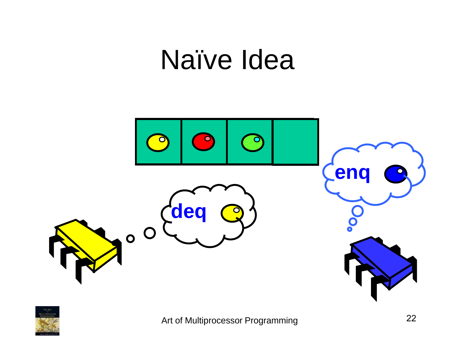## Naïve Idea



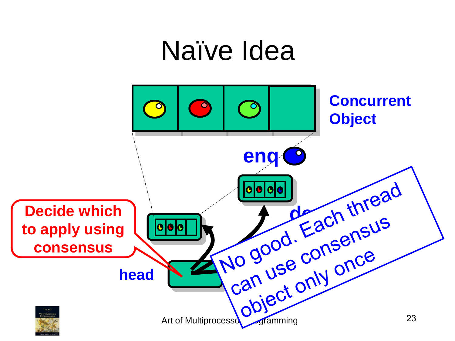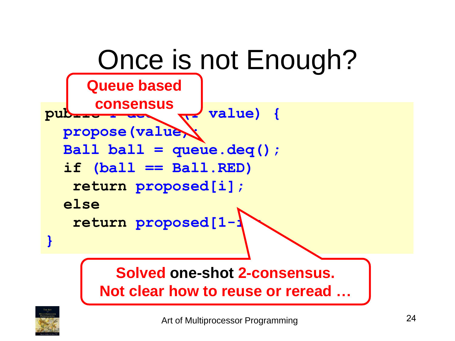

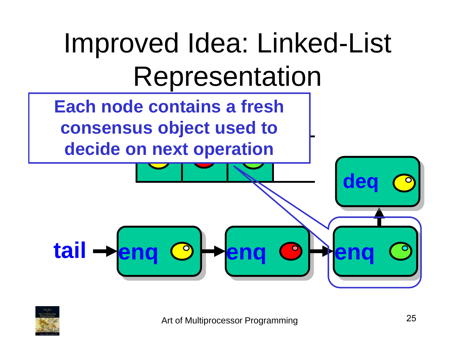

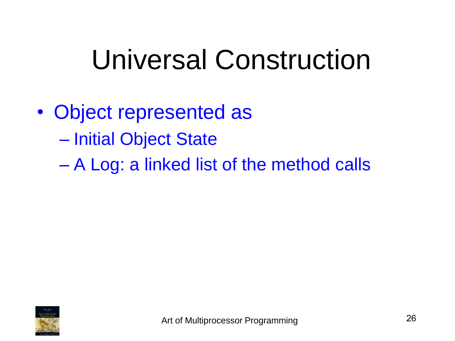## Universal Construction

- Object represented as – Initial Object State
	- A Log: a linked list of the method calls

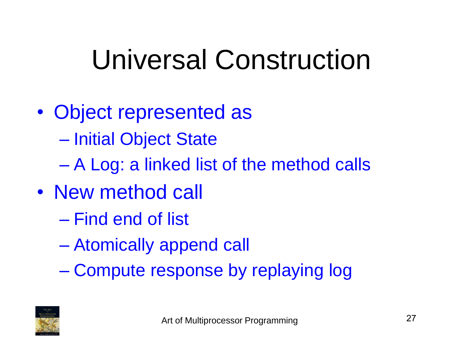# Universal Construction

- Object represented as – Initial Object State
	- A Log: a linked list of the method calls
- New method call
	- Find end of list
	- Atomically append call
	- Compute response by replaying log

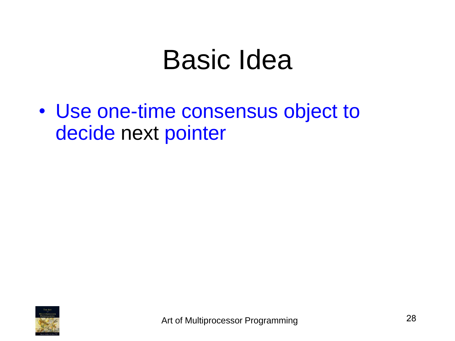## Basic Idea

• Use one-time consensus object to decide next pointer

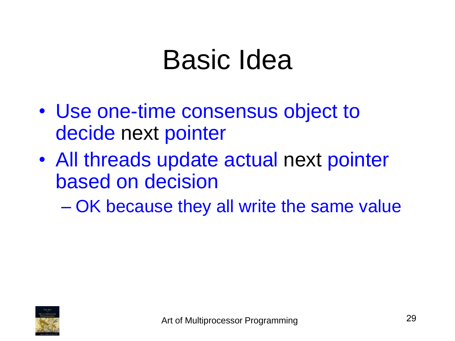## Basic Idea

- Use one-time consensus object to decide next pointer
- All threads update actual next pointer based on decision

– OK because they all write the same value

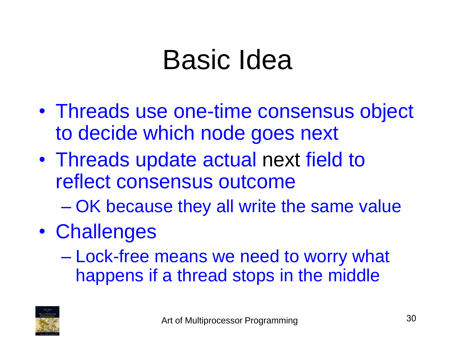## Basic Idea

- Threads use one-time consensus object to decide which node goes next
- Threads update actual next field to reflect consensus outcome
	- OK because they all write the same value
- Challenges
	- Lock-free means we need to worry what happens if a thread stops in the middle

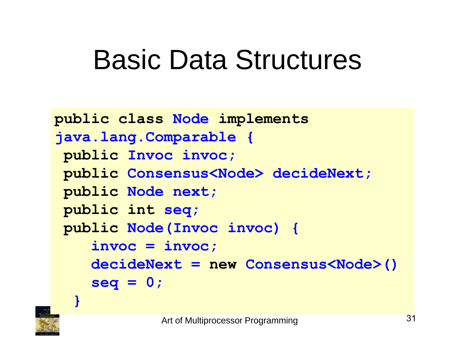```
public class Node implements
java.lang.Comparable {
public Invoc invoc; 
public Consensus<Node> decideNext; 
public Node next; 
public int seq; 
public Node(Invoc invoc) {
    invoc = invoc;
    decideNext = new Consensus<Node>()
    seq = 0;
```


**}**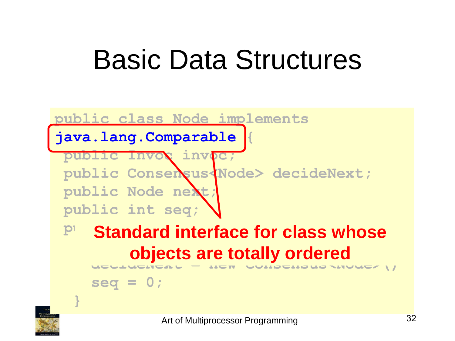#### **public class Node implements**

**java.lang.Comparable {**

**public Invoc invoc;**  public Consensus<Node> decideNext; **public Node next; public int seq;** 

#### **P** Standard interface for class whose **involvement deciracies = new consensus supples objects are totally ordered**

**seq = 0;**



**}**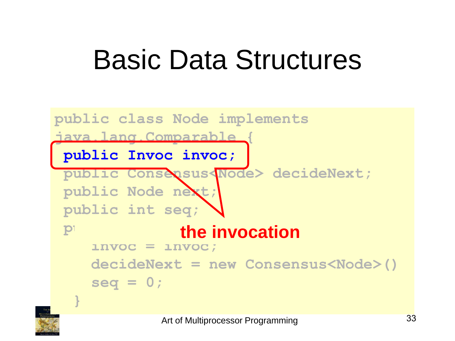

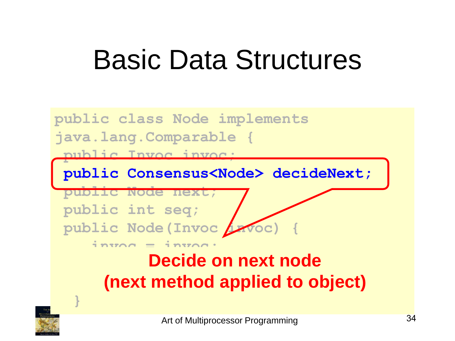

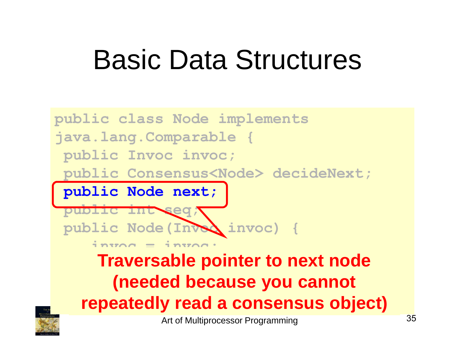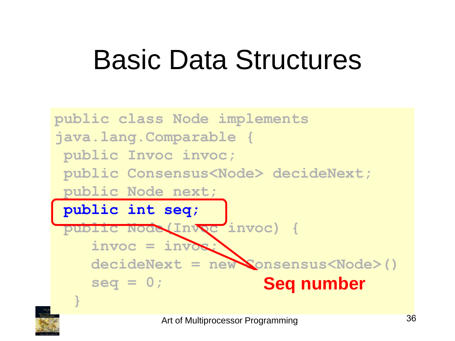

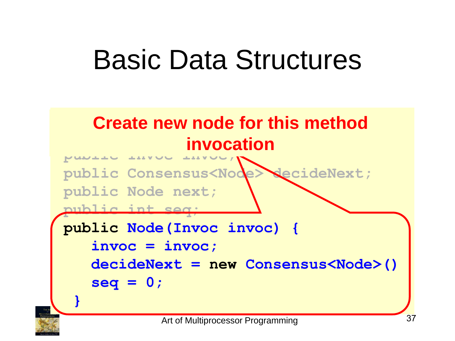#### Basic Data Structures



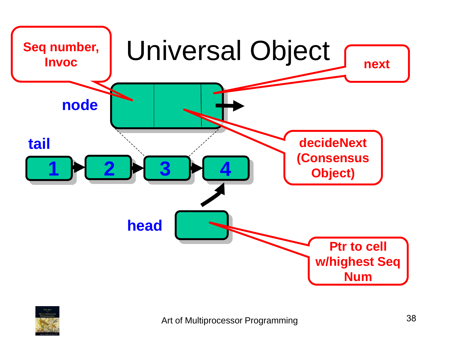

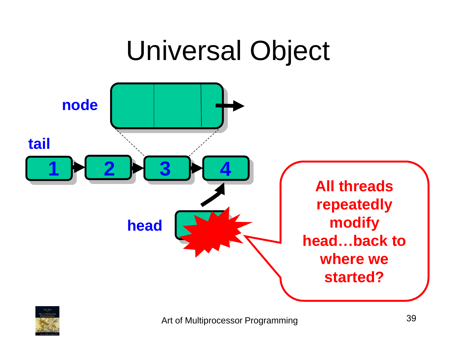

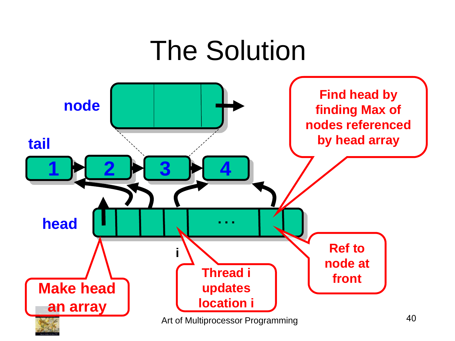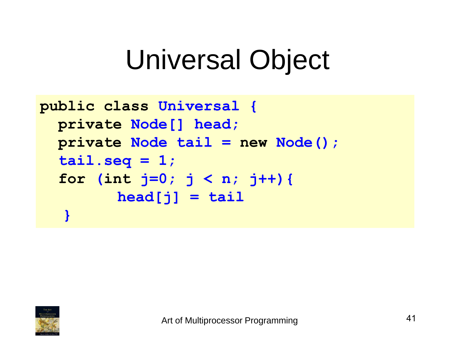```
public class Universal {
  private Node[] head;
  private Node tail = new Node(); 
  tail.\,seq = 1;for (int j=0; j < n; j++){
         head[j] = tail
   }
```
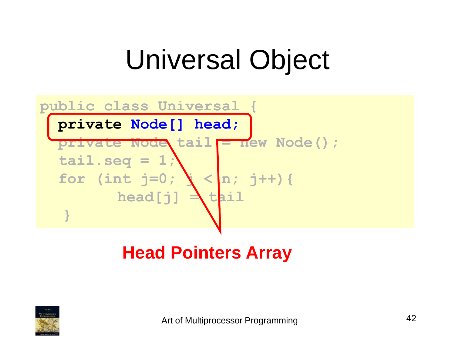

#### **Head Pointers Array**

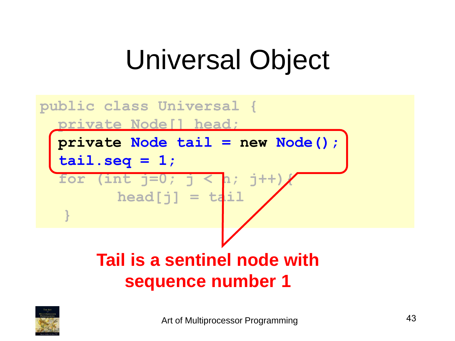

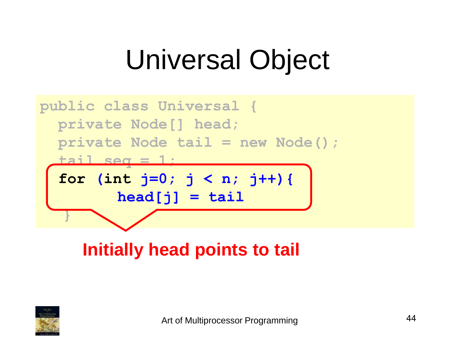

#### **Initially head points to tail**

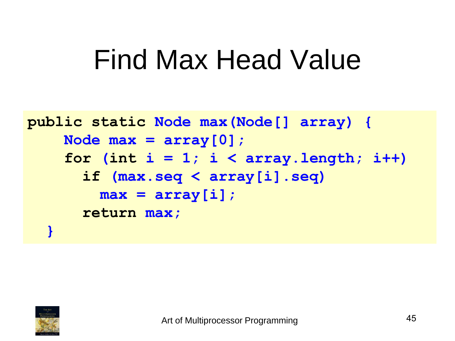```
public static Node max(Node[] array) {
    Node max = array[0];
    for (int i = 1; i < array.length; i++)if (max.seq < array[i].seq)
        max = array[i];return max;
  }
```
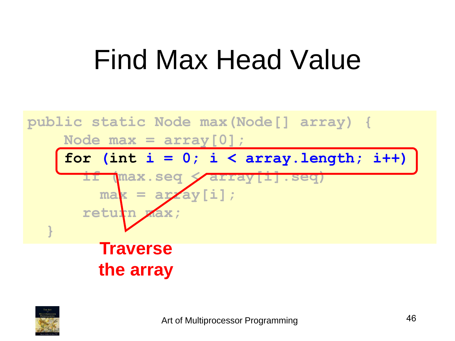

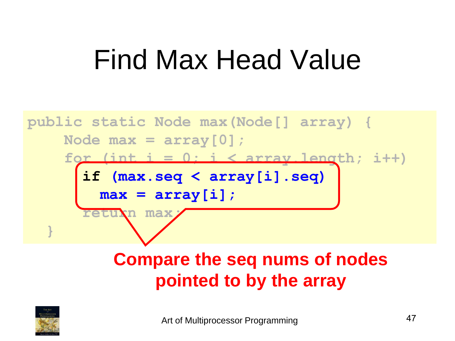

#### **Compare the seq nums of nodes pointed to by the array**

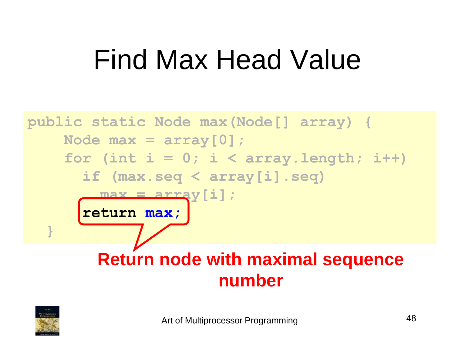

#### **Return node with maximal sequence number**

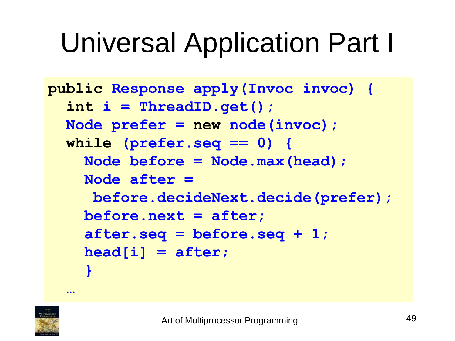```
public Response apply(Invoc invoc) {
  int i = ThreadID.get();
  Node prefer = new node(invoc); 
  while (prefer.seq == 0) {
    Node before = Node.max(head);
    Node after = 
     before.decideNext.decide(prefer);
    before.next = after; 
    after.seq = before.seq + 1;
    head[i] = after;
    }
```


**…**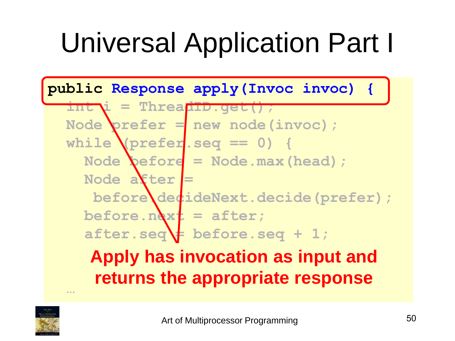

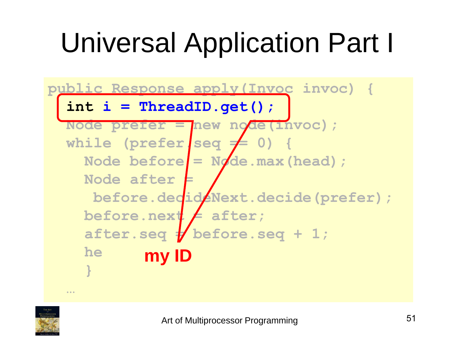

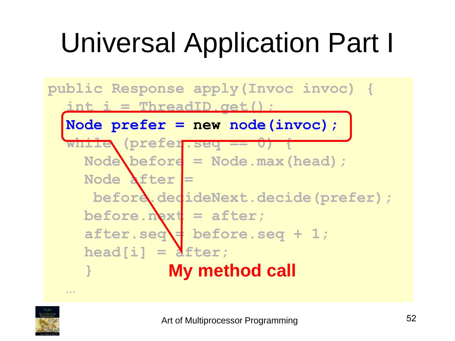

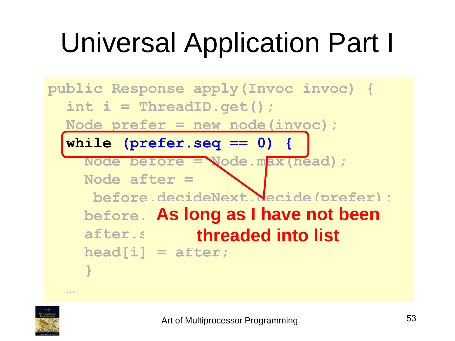

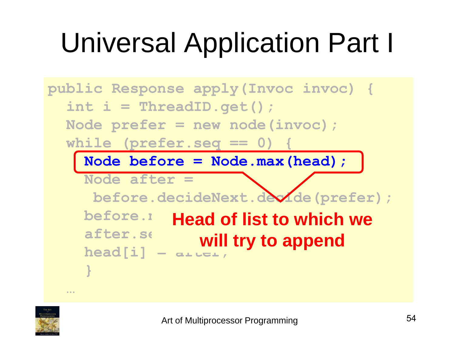

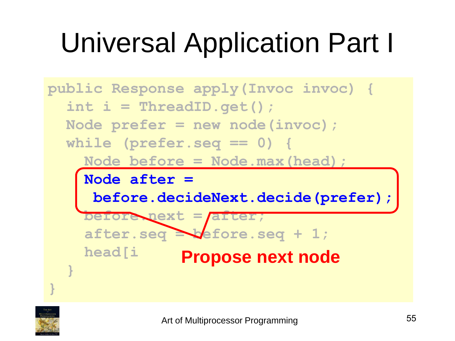

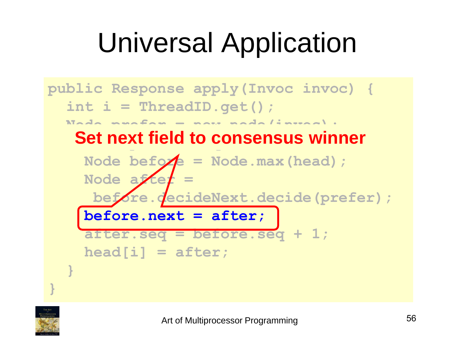### Universal Application



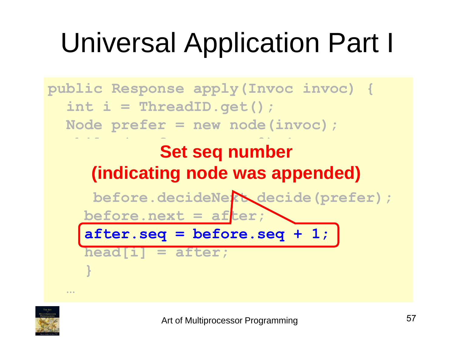

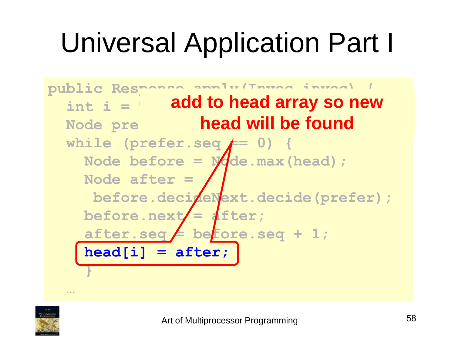

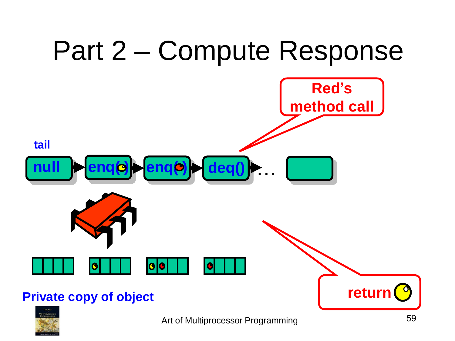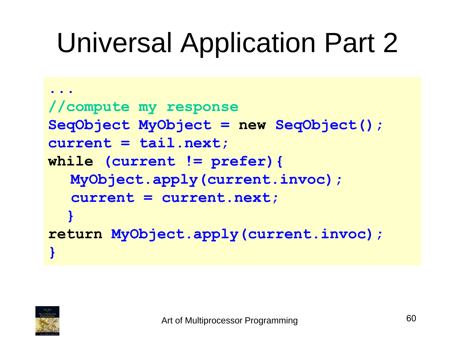```
...
//compute my response
SeqObject MyObject = new SeqObject();
current = tail.next;
while (current != prefer){ 
  MyObject.apply(current.invoc); 
  current = current.next;
  } 
return MyObject.apply(current.invoc);
}
```
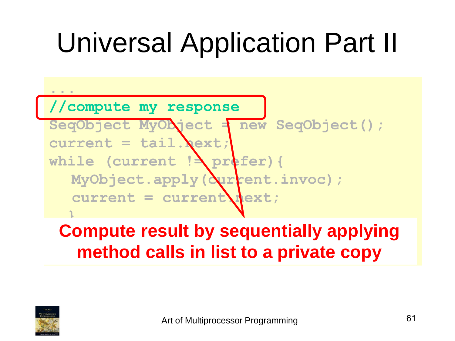**... //compute my response SeqObject MyObject = new SeqObject();**  $current = tail $.$ ext;$ while (current ! prefer) { MyObject.apply( $\Delta$ urrent.invoc);  $current = current \$ **}** 

#### **Compute result by sequentially applying method calls in list to a private copy**

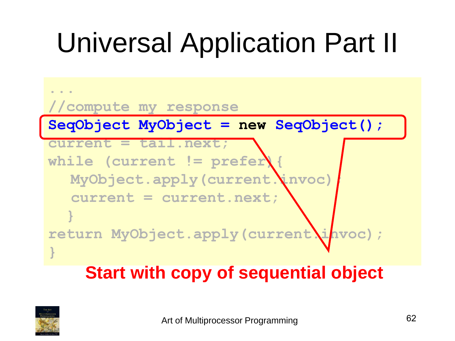

#### **Start with copy of sequential object**

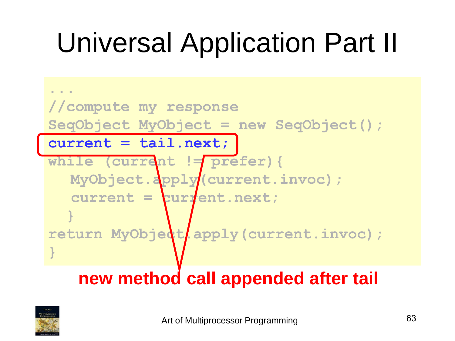

#### **new method call appended after tail**

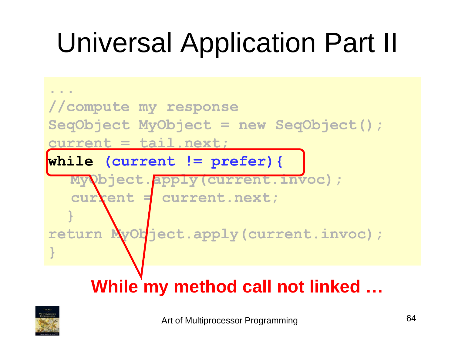

#### **While my method call not linked …**

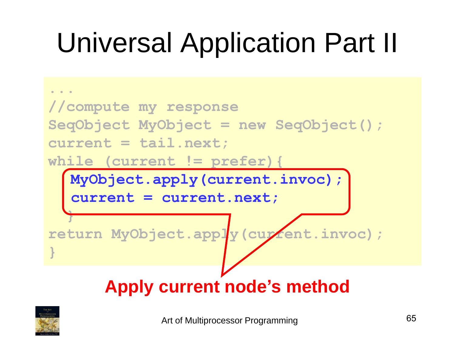

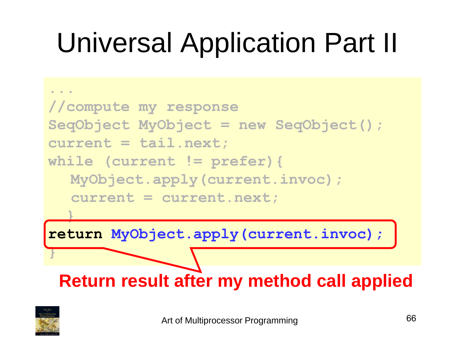

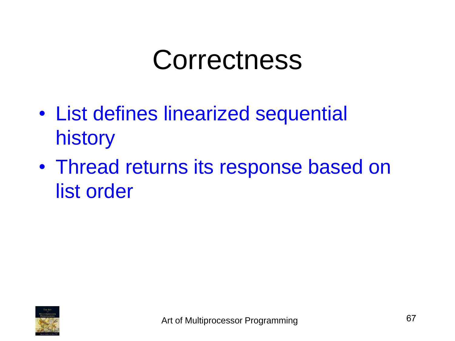#### Correctness

- List defines linearized sequential history
- Thread returns its response based on list order

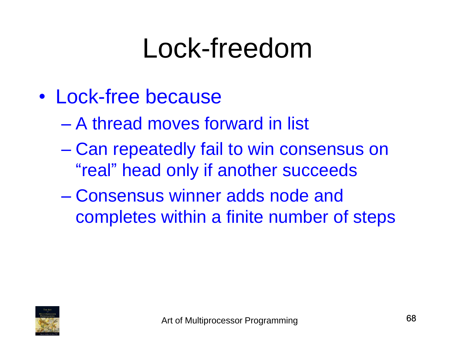#### Lock-freedom

- Lock-free because
	- A thread moves forward in list
	- Can repeatedly fail to win consensus on "real" head only if another succeeds
	- Consensus winner adds node and completes within a finite number of steps

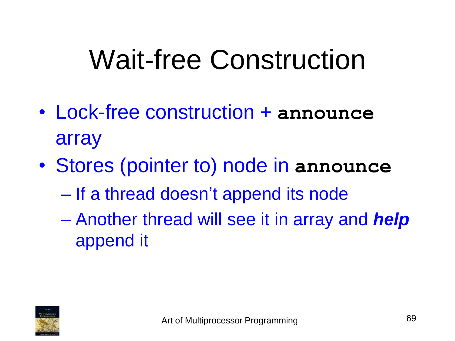### Wait-free Construction

- Lock-free construction + **announce** array
- Stores (pointer to) node in **announce**
	- If a thread doesn't append its node
	- Another thread will see it in array and *help* append it

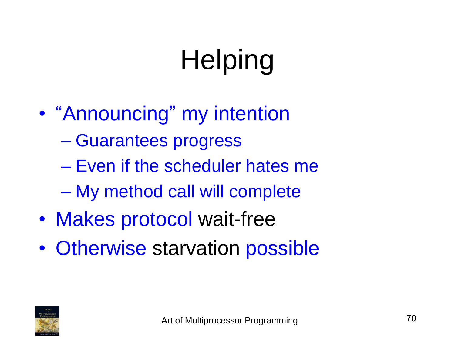# **Helping**

- "Announcing" my intention
	- Guarantees progress
	- Even if the scheduler hates me
	- My method call will complete
- Makes protocol wait-free
- Otherwise starvation possible

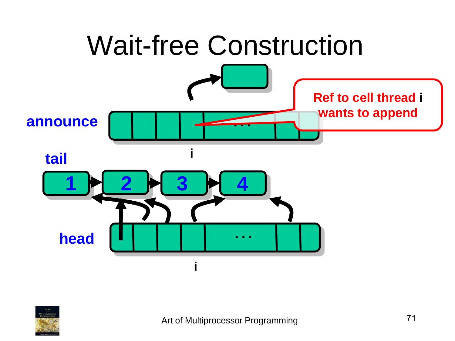

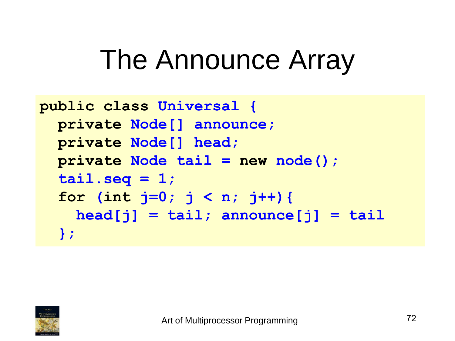#### The Announce Array

```
public class Universal {
  private Node[] announce; 
  private Node[] head;
  private Node tail = new node();
  tail.seq = 1;
  for (int j=0; j < n; j++){
    head[j] = tail; announce[j] = tail
  };
```
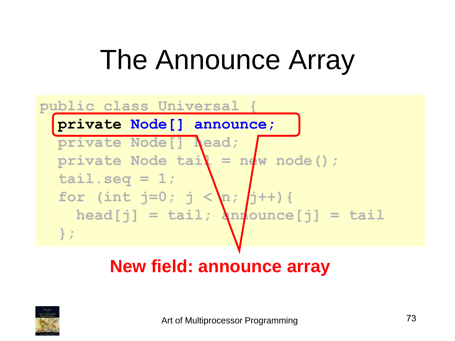### The Announce Array

#### **public class Universal { private Node[] announce; private Node[] head; private Node tail = new node(); tail.seq = 1;** for (int  $j=0$ ;  $j < n$ ;  $j+1$ ) {  $\texttt{head}[j] = \texttt{tail}; \ \texttt{and} \ \texttt{ounce}[j] = \texttt{tail}$ **};**

#### **New field: announce array**

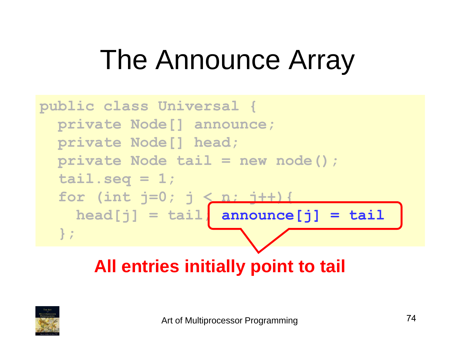### The Announce Array



**All entries initially point to tail**

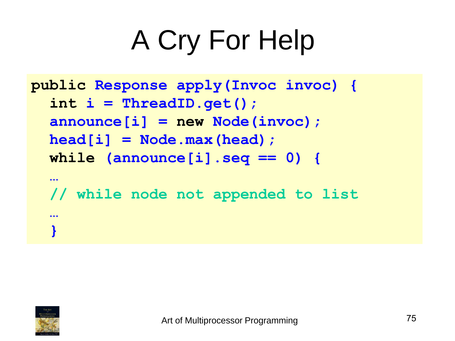```
public Response apply(Invoc invoc) {
  int i = ThreadID.get();
  announce[i] = new Node(invoc);
  head[i] = Node.max(head);
  while (announce[i].seq == 0) {
  …
  // while node not appended to list
  …
  }
```
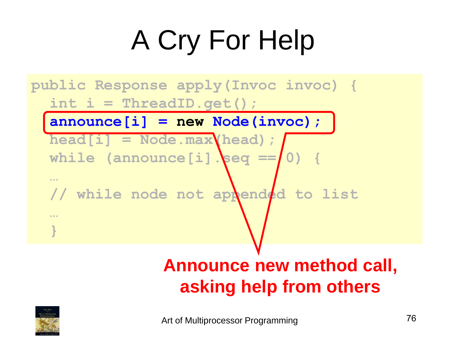

#### **Announce new method call, asking help from others**

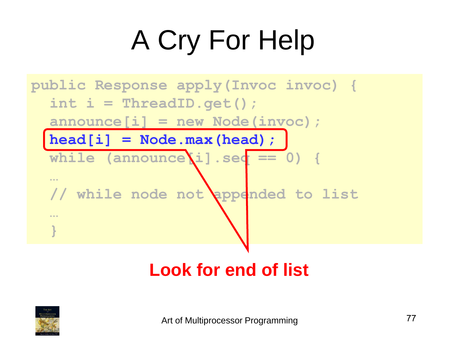

#### **Look for end of list**

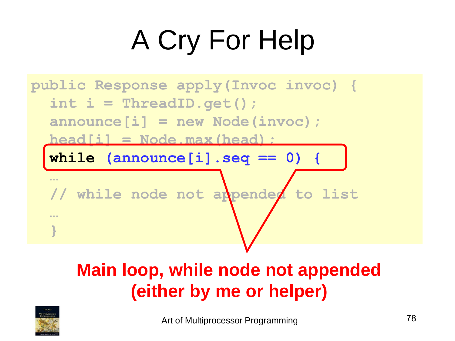

#### **Main loop, while node not appended (either by me or helper)**

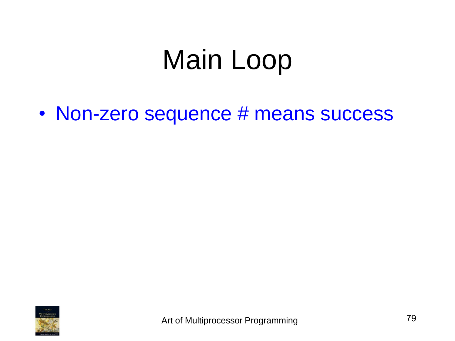• Non-zero sequence # means success

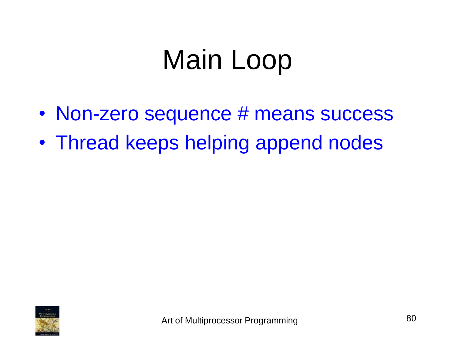- Non-zero sequence # means success
- Thread keeps helping append nodes

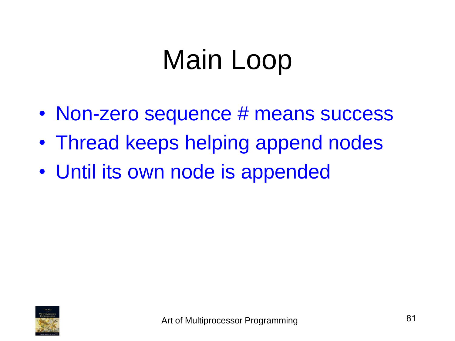- Non-zero sequence # means success
- Thread keeps helping append nodes
- Until its own node is appended

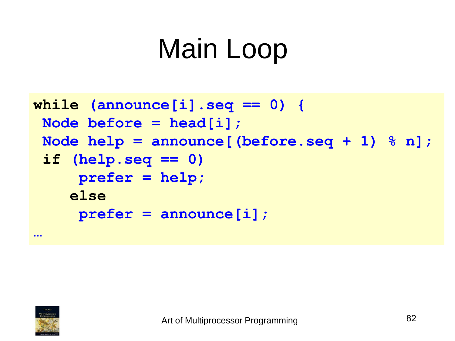```
while (announce[i].seq == 0) {
 Node before = head[i]; 
 Node help = announce[(before.seq + 1) % n]; 
 if (help.seq == 0) 
     prefer = help;
    else
     prefer = announce[i];
```


**…**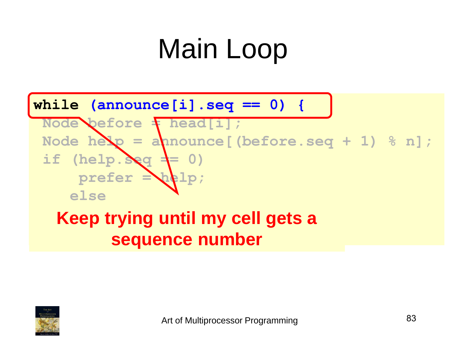

#### **Keep trying until my cell gets a sequence number**

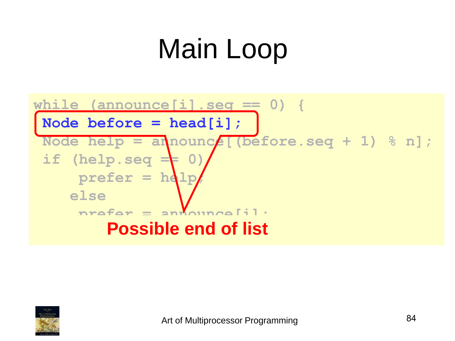

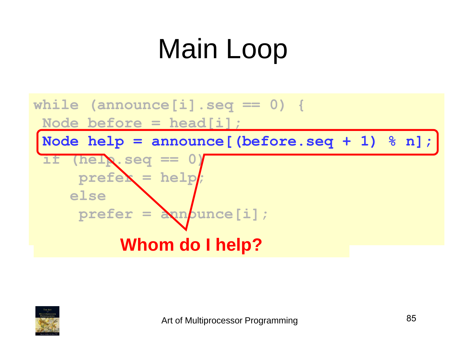

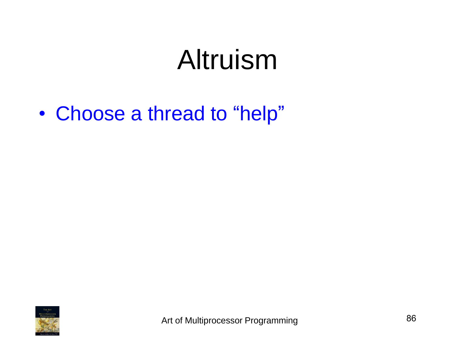#### Altruism

• Choose a thread to "help"

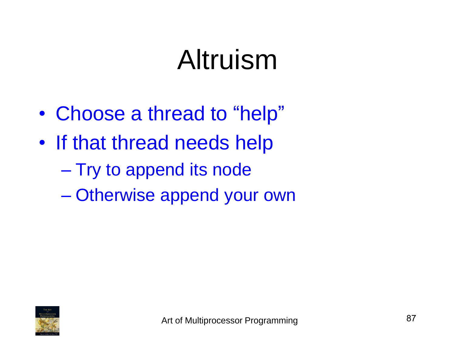#### Altruism

- Choose a thread to "help"
- If that thread needs help
	- Try to append its node
	- Otherwise append your own

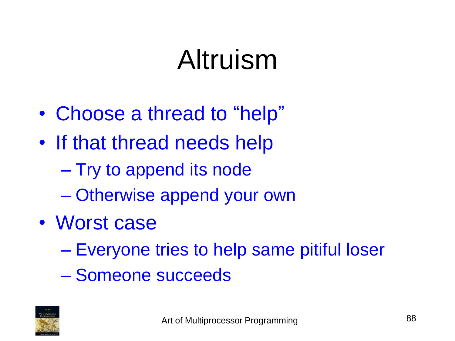#### Altruism

- Choose a thread to "help"
- If that thread needs help
	- Try to append its node
	- Otherwise append your own
- Worst case
	- Everyone tries to help same pitiful loser
	- Someone succeeds

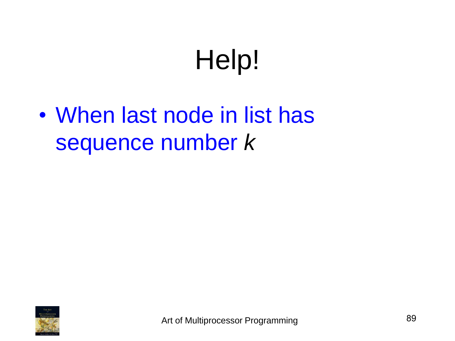• When last node in list has sequence number *k*

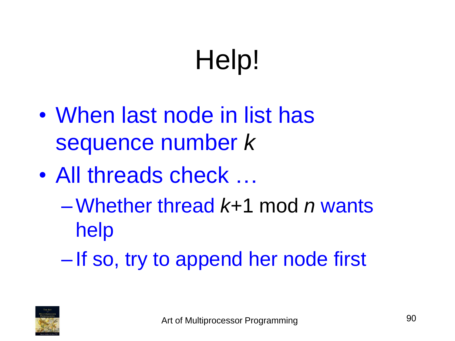- When last node in list has sequence number *k*
- All threads check ...
	- –Whether thread *k*+1 mod *n* wants help
	- If so, try to append her node first

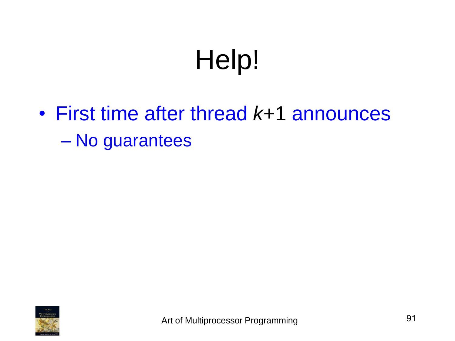• First time after thread *k*+1 announces – No guarantees

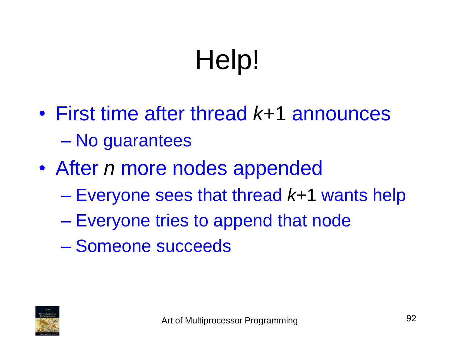- First time after thread *k*+1 announces – No guarantees
- After *n* more nodes appended
	- Everyone sees that thread *k*+1 wants help
	- Everyone tries to append that node
	- Someone succeeds

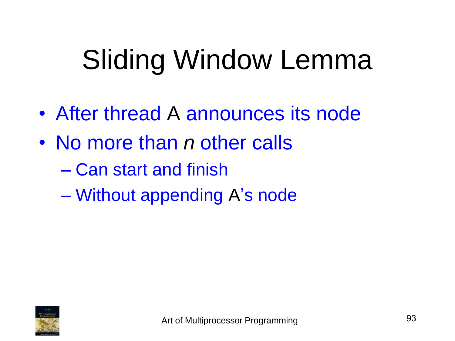## Sliding Window Lemma

- After thread A announces its node
- No more than *n* other calls
	- Can start and finish
	- Without appending A's node

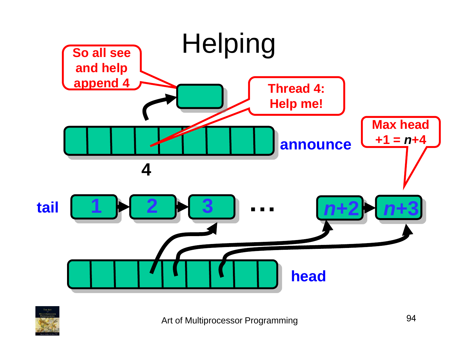

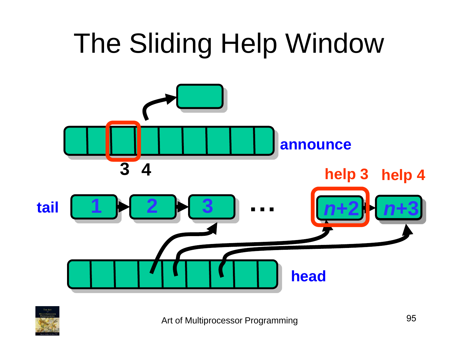

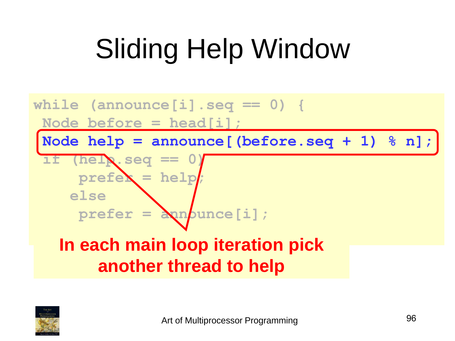## Sliding Help Window



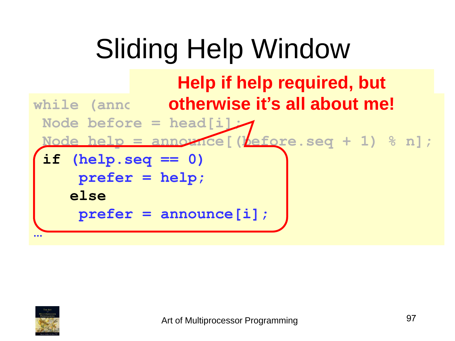## Sliding Help Window



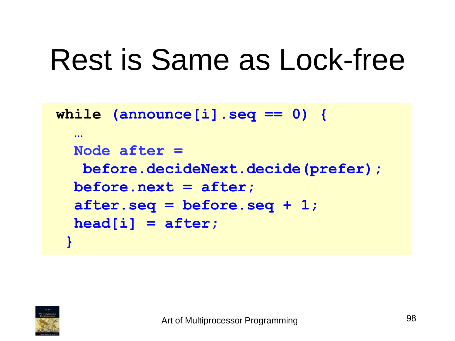```
while (announce[i].seq == 0) {
  … 
  Node after = 
   before.decideNext.decide(prefer);
  before.next = after; 
  after.seq = before.seq + 1;
  head[i] = after; 
 }
```
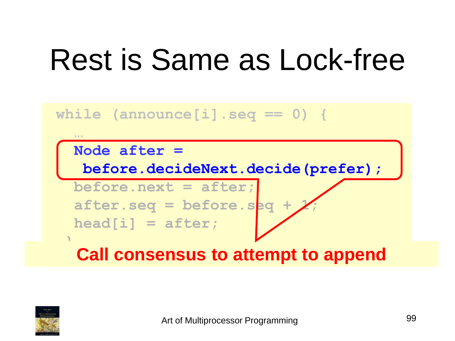#### **while (announce[i].seq == 0) {**

#### **Node after =**

**…**

**}**

**before.decideNext.decide(prefer);**

**before.next = after;**  after.seq = before.seq + **head[i] = after;** 

**Call consensus to attempt to append**

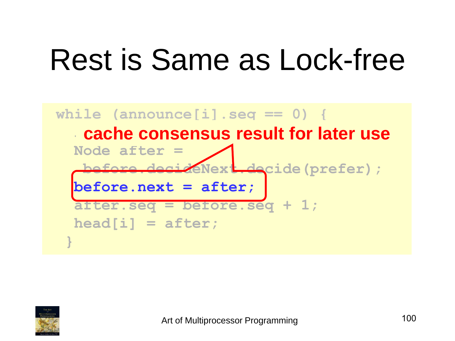

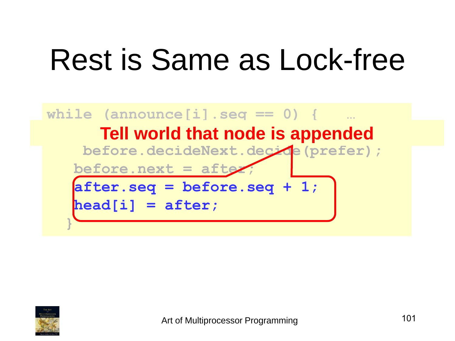

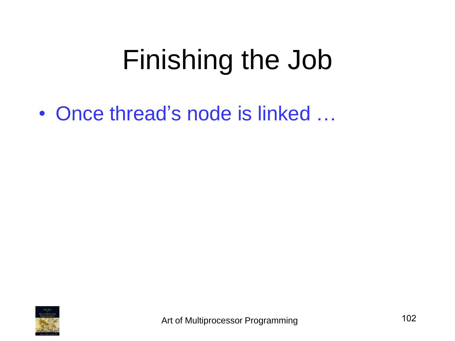### Finishing the Job

• Once thread's node is linked ...

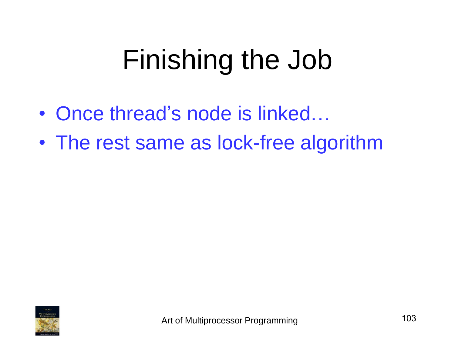## Finishing the Job

- Once thread's node is linked...
- The rest same as lock-free algorithm

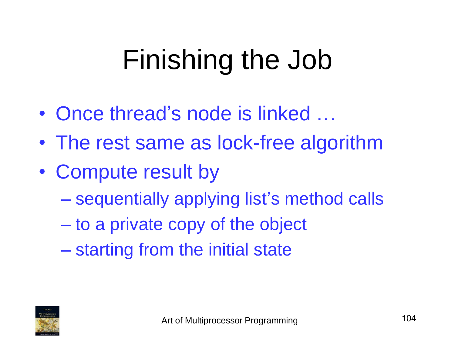## Finishing the Job

- Once thread's node is linked ...
- The rest same as lock-free algorithm
- Compute result by
	- sequentially applying list's method calls
	- to a private copy of the object
	- starting from the initial state

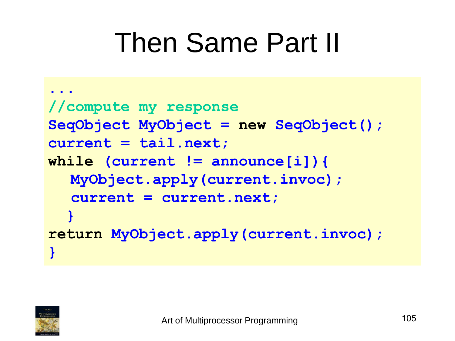### Then Same Part II

```
...
//compute my response
SeqObject MyObject = new SeqObject();
current = tail.next;
while (current != announce[i]){ 
  MyObject.apply(current.invoc); 
  current = current.next;
  } 
return MyObject.apply(current.invoc);
}
```
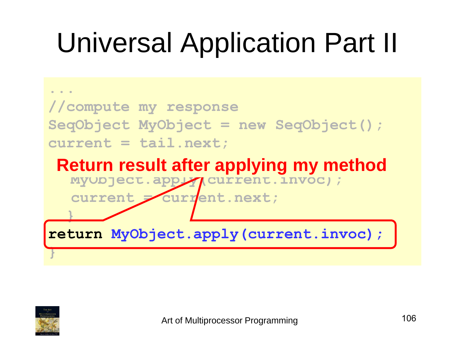## Universal Application Part II



**return MyObject.apply(current.invoc);**



**}**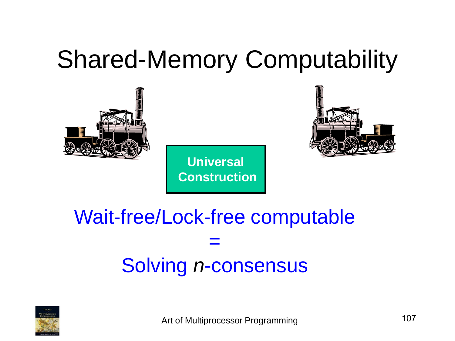#### Shared-Memory Computability



**Universal Construction**



#### Wait-free/Lock-free computable = Solving *n*-consensus



Art of Multiprocessor Programming 107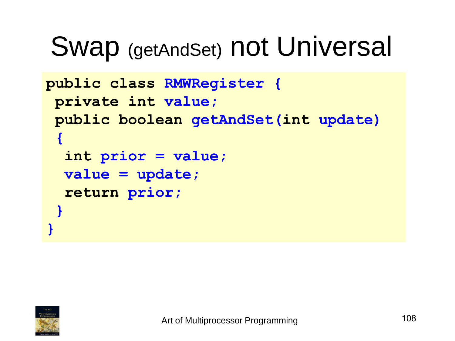#### Swap (getAndSet) not Universal

```
public class RMWRegister {
 private int value;
 public boolean getAndSet(int update) 
 {
  int prior = value;
  value = update;
  return prior;
 }
}
```
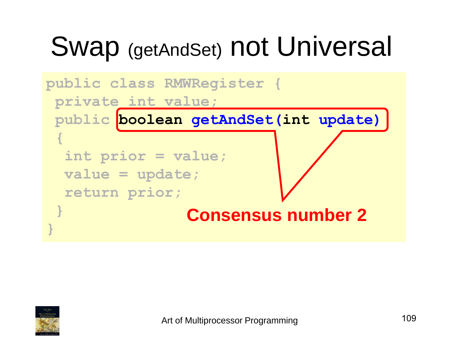### Swap (getAndSet) not Universal

```
public class RMWRegister {
private int value;
public boolean getAndSet(int update) 
 {
  int prior = value;
  value = update;
  return prior;
 }
}
                Consensus number 2
```
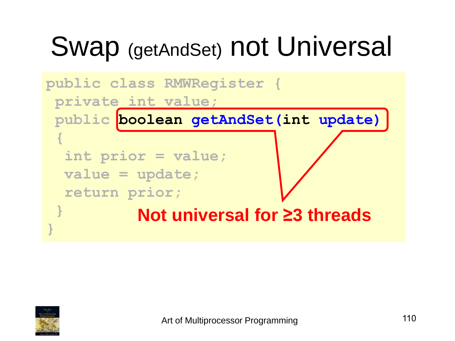### Swap (getAndSet) not Universal

```
public class RMWRegister {
 private int value;
 public boolean getAndSet(int update) 
 {
  int prior = value;
  value = update;
  return prior;
 }
}
          Not universal for ≥3 threads
```
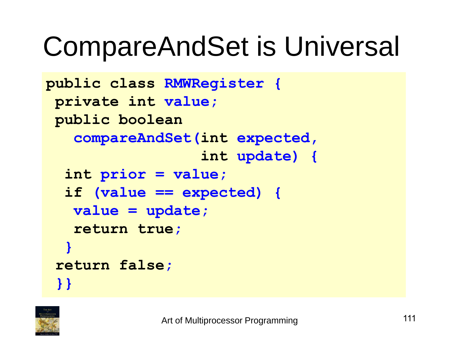#### CompareAndSet is Universal

```
public class RMWRegister {
 private int value;
public boolean
   compareAndSet(int expected,
                  int update) {
  int prior = value;
  if (value == expected) {
   value = update;
   return true;
  }
 return false;
 }}
```
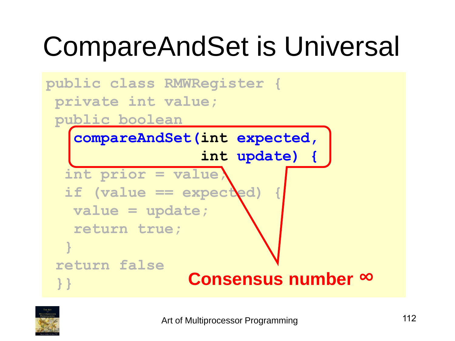## CompareAndSet is Universal



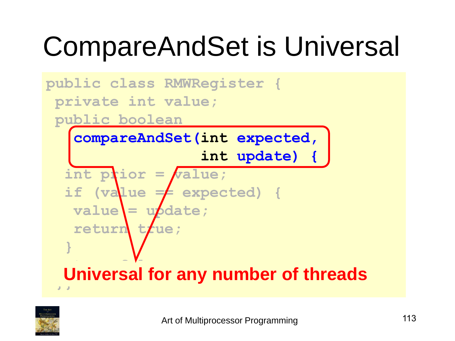## CompareAndSet is Universal



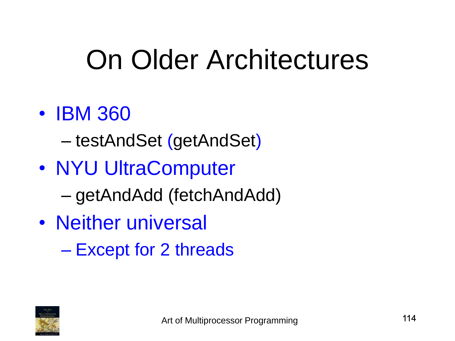#### On Older Architectures

#### • **IBM 360**

– testAndSet (getAndSet)

- NYU UltraComputer
	- getAndAdd (fetchAndAdd)
- Neither universal
	- Except for 2 threads

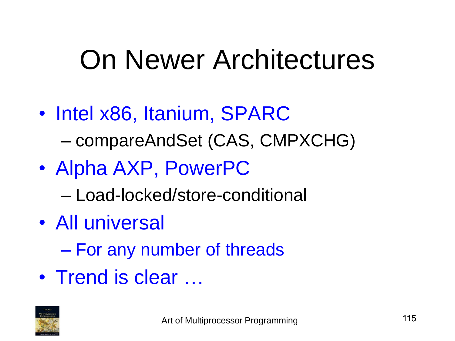#### On Newer Architectures

- Intel x86, Itanium, SPARC – compareAndSet (CAS, CMPXCHG)
- Alpha AXP, PowerPC
	- Load-locked/store-conditional
- All universal
	- For any number of threads
- Trend is clear ...

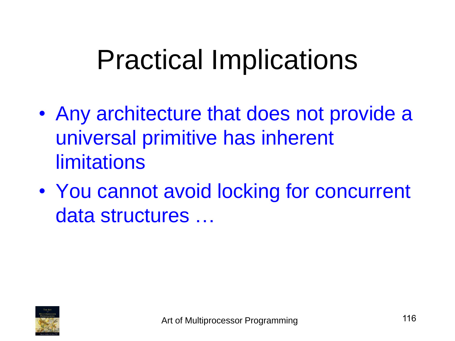#### Practical Implications

- Any architecture that does not provide a universal primitive has inherent **limitations**
- You cannot avoid locking for concurrent data structures …

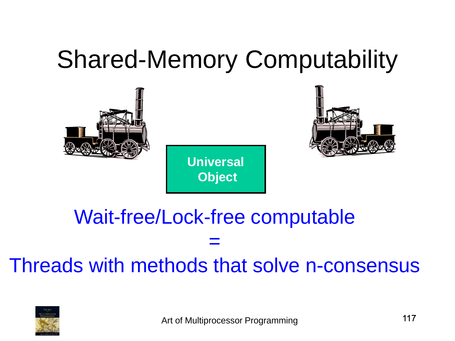#### Shared-Memory Computability



#### Wait-free/Lock-free computable = Threads with methods that solve n-consensus

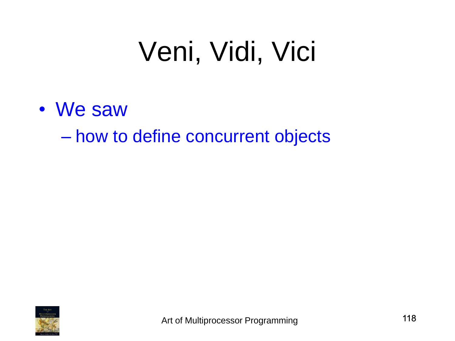#### Veni, Vidi, Vici

• We saw

– how to define concurrent objects

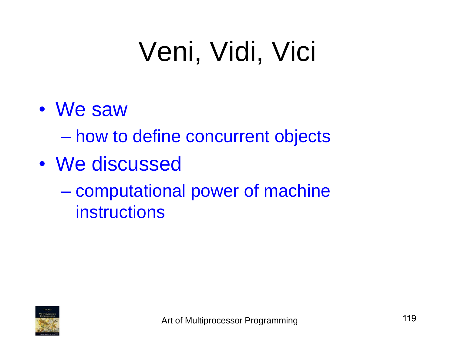## Veni, Vidi, Vici

• We saw

– how to define concurrent objects

- We discussed
	- computational power of machine instructions

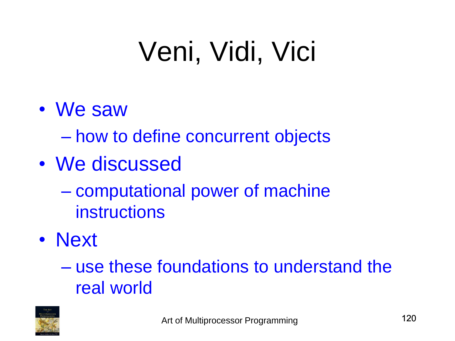# Veni, Vidi, Vici

• We saw

– how to define concurrent objects

- We discussed
	- computational power of machine instructions
- Next

– use these foundations to understand the real world